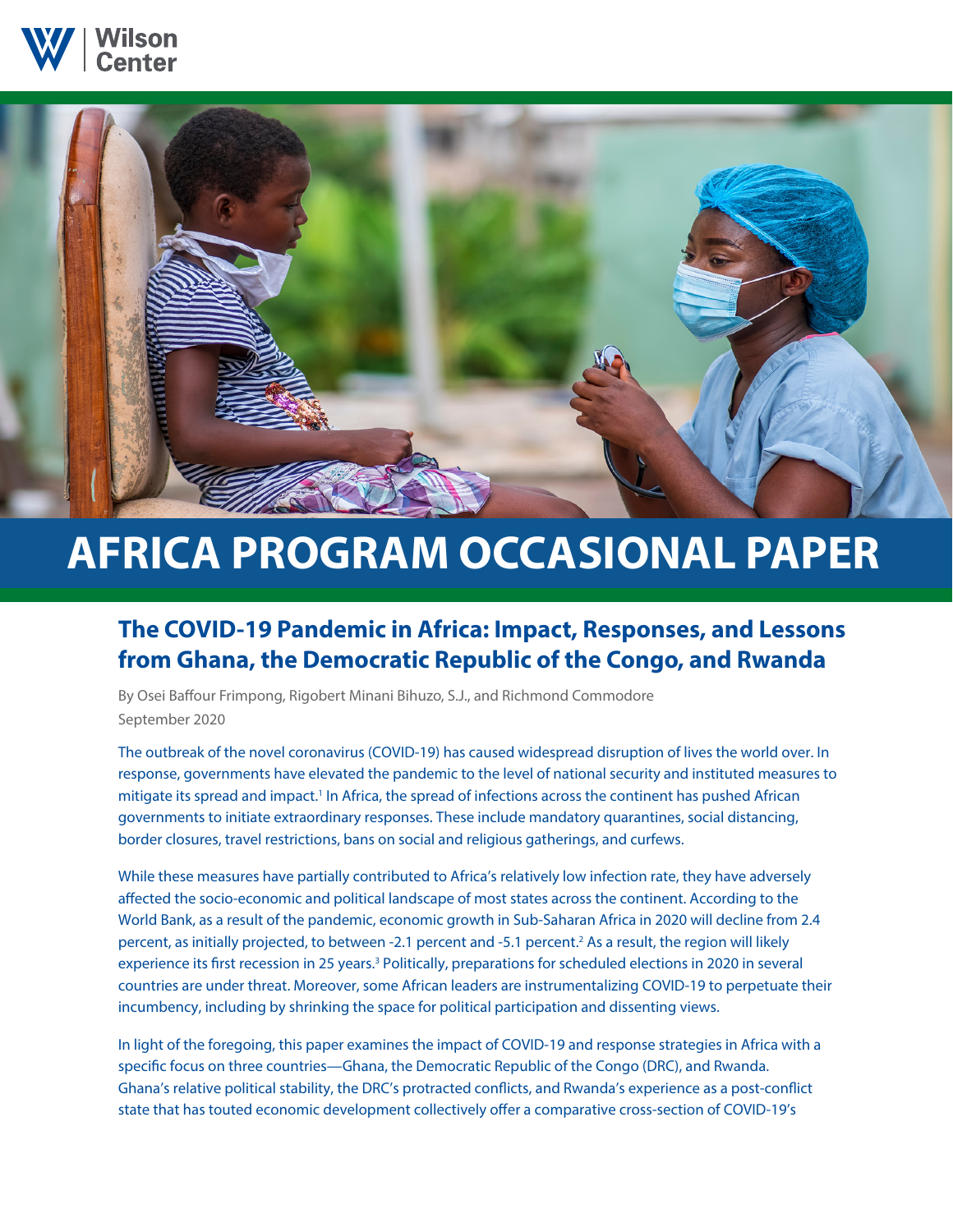



# **AFRICA PROGRAM OCCASIONAL PAPER**

## **The COVID-19 Pandemic in Africa: Impact, Responses, and Lessons from Ghana, the Democratic Republic of the Congo, and Rwanda**

By Osei Baffour Frimpong, Rigobert Minani Bihuzo, S.J., and Richmond Commodore September 2020

The outbreak of the novel coronavirus (COVID-19) has caused widespread disruption of lives the world over. In response, governments have elevated the pandemic to the level of national security and instituted measures to mitigate its spread and impact.<sup>1</sup> In Africa, the spread of infections across the continent has pushed African governments to initiate extraordinary responses. These include mandatory quarantines, social distancing, border closures, travel restrictions, bans on social and religious gatherings, and curfews.

While these measures have partially contributed to Africa's relatively low infection rate, they have adversely affected the socio-economic and political landscape of most states across the continent. According to the World Bank, as a result of the pandemic, economic growth in Sub-Saharan Africa in 2020 will decline from 2.4 percent, as initially projected, to between -2.1 percent and -5.1 percent.<sup>2</sup> As a result, the region will likely experience its first recession in 25 years.<sup>3</sup> Politically, preparations for scheduled elections in 2020 in several countries are under threat. Moreover, some African leaders are instrumentalizing COVID-19 to perpetuate their incumbency, including by shrinking the space for political participation and dissenting views.

In light of the foregoing, this paper examines the impact of COVID-19 and response strategies in Africa with a specific focus on three countries—Ghana, the Democratic Republic of the Congo (DRC), and Rwanda. Ghana's relative political stability, the DRC's protracted conflicts, and Rwanda's experience as a post-conflict state that has touted economic development collectively offer a comparative cross-section of COVID-19's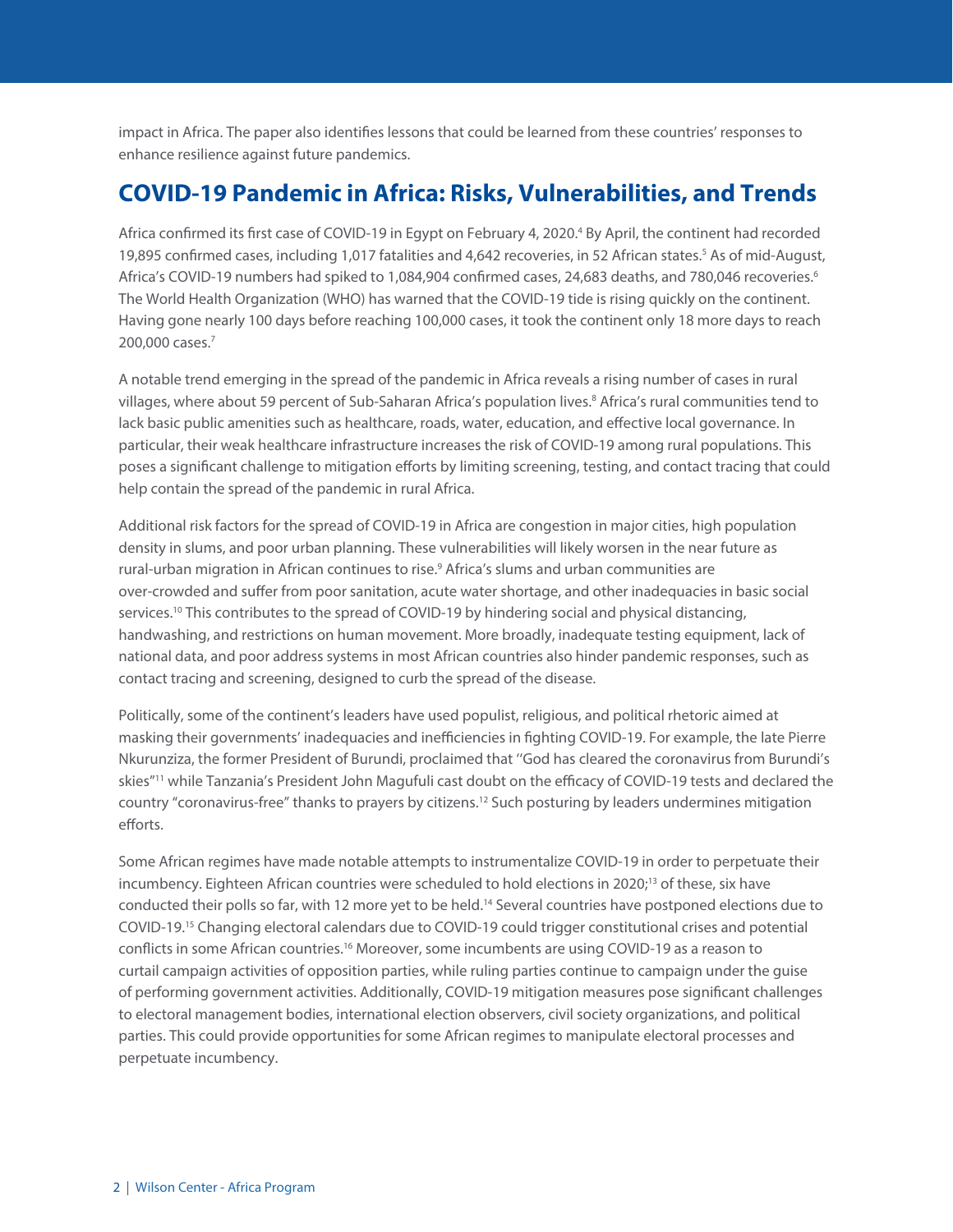impact in Africa. The paper also identifies lessons that could be learned from these countries' responses to enhance resilience against future pandemics.

## **COVID-19 Pandemic in Africa: Risks, Vulnerabilities, and Trends**

Africa confirmed its first case of COVID-19 in Egypt on February 4, 2020.<sup>4</sup> By April, the continent had recorded 19,895 confirmed cases, including 1,017 fatalities and 4,642 recoveries, in 52 African states.<sup>5</sup> As of mid-August, Africa's COVID-19 numbers had spiked to 1,084,904 confirmed cases, 24,683 deaths, and 780,046 recoveries.<sup>6</sup> The World Health Organization (WHO) has warned that the COVID-19 tide is rising quickly on the continent. Having gone nearly 100 days before reaching 100,000 cases, it took the continent only 18 more days to reach 200,000 cases.7

A notable trend emerging in the spread of the pandemic in Africa reveals a rising number of cases in rural villages, where about 59 percent of Sub-Saharan Africa's population lives.<sup>8</sup> Africa's rural communities tend to lack basic public amenities such as healthcare, roads, water, education, and effective local governance. In particular, their weak healthcare infrastructure increases the risk of COVID-19 among rural populations. This poses a significant challenge to mitigation efforts by limiting screening, testing, and contact tracing that could help contain the spread of the pandemic in rural Africa.

Additional risk factors for the spread of COVID-19 in Africa are congestion in major cities, high population density in slums, and poor urban planning. These vulnerabilities will likely worsen in the near future as rural-urban migration in African continues to rise.<sup>9</sup> Africa's slums and urban communities are over-crowded and suffer from poor sanitation, acute water shortage, and other inadequacies in basic social services.<sup>10</sup> This contributes to the spread of COVID-19 by hindering social and physical distancing, handwashing, and restrictions on human movement. More broadly, inadequate testing equipment, lack of national data, and poor address systems in most African countries also hinder pandemic responses, such as contact tracing and screening, designed to curb the spread of the disease.

Politically, some of the continent's leaders have used populist, religious, and political rhetoric aimed at masking their governments' inadequacies and inefficiencies in fighting COVID-19. For example, the late Pierre Nkurunziza, the former President of Burundi, proclaimed that ''God has cleared the coronavirus from Burundi's skies"11 while Tanzania's President John Magufuli cast doubt on the efficacy of COVID-19 tests and declared the country "coronavirus-free" thanks to prayers by citizens.12 Such posturing by leaders undermines mitigation efforts.

Some African regimes have made notable attempts to instrumentalize COVID-19 in order to perpetuate their incumbency. Eighteen African countries were scheduled to hold elections in 2020;<sup>13</sup> of these, six have conducted their polls so far, with 12 more yet to be held.14 Several countries have postponed elections due to COVID-19.15 Changing electoral calendars due to COVID-19 could trigger constitutional crises and potential conflicts in some African countries.16 Moreover, some incumbents are using COVID-19 as a reason to curtail campaign activities of opposition parties, while ruling parties continue to campaign under the guise of performing government activities. Additionally, COVID-19 mitigation measures pose significant challenges to electoral management bodies, international election observers, civil society organizations, and political parties. This could provide opportunities for some African regimes to manipulate electoral processes and perpetuate incumbency.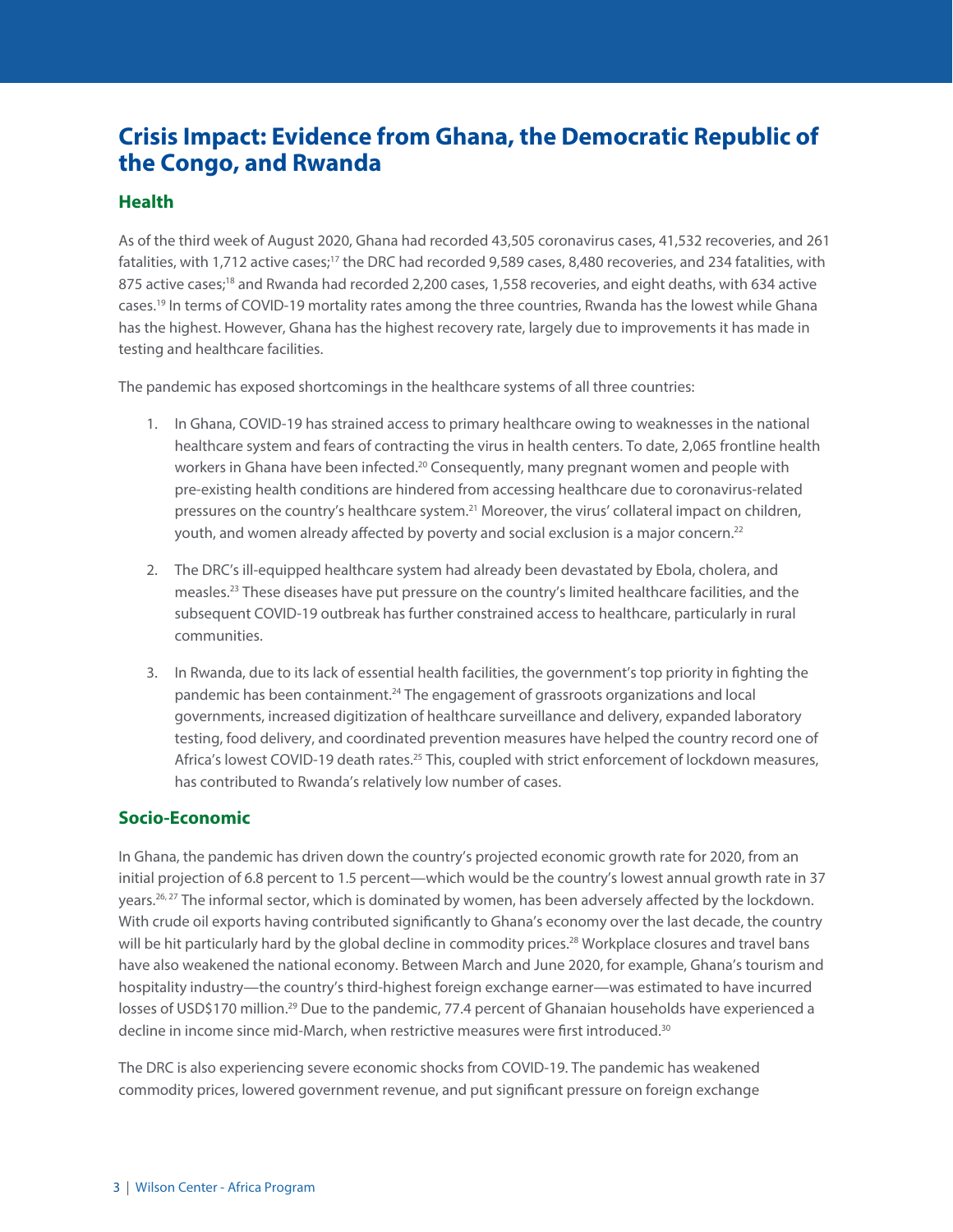## **Crisis Impact: Evidence from Ghana, the Democratic Republic of the Congo, and Rwanda**

#### **Health**

As of the third week of August 2020, Ghana had recorded 43,505 coronavirus cases, 41,532 recoveries, and 261 fatalities, with 1,712 active cases;<sup>17</sup> the DRC had recorded 9,589 cases, 8,480 recoveries, and 234 fatalities, with 875 active cases;<sup>18</sup> and Rwanda had recorded 2,200 cases, 1,558 recoveries, and eight deaths, with 634 active cases.19 In terms of COVID-19 mortality rates among the three countries, Rwanda has the lowest while Ghana has the highest. However, Ghana has the highest recovery rate, largely due to improvements it has made in testing and healthcare facilities.

The pandemic has exposed shortcomings in the healthcare systems of all three countries:

- 1. In Ghana, COVID-19 has strained access to primary healthcare owing to weaknesses in the national healthcare system and fears of contracting the virus in health centers. To date, 2,065 frontline health workers in Ghana have been infected.<sup>20</sup> Consequently, many pregnant women and people with pre-existing health conditions are hindered from accessing healthcare due to coronavirus-related pressures on the country's healthcare system.<sup>21</sup> Moreover, the virus' collateral impact on children, youth, and women already affected by poverty and social exclusion is a major concern.<sup>22</sup>
- 2. The DRC's ill-equipped healthcare system had already been devastated by Ebola, cholera, and measles.23 These diseases have put pressure on the country's limited healthcare facilities, and the subsequent COVID-19 outbreak has further constrained access to healthcare, particularly in rural communities.
- 3. In Rwanda, due to its lack of essential health facilities, the government's top priority in fighting the pandemic has been containment.<sup>24</sup> The engagement of grassroots organizations and local governments, increased digitization of healthcare surveillance and delivery, expanded laboratory testing, food delivery, and coordinated prevention measures have helped the country record one of Africa's lowest COVID-19 death rates.<sup>25</sup> This, coupled with strict enforcement of lockdown measures, has contributed to Rwanda's relatively low number of cases.

#### **Socio-Economic**

In Ghana, the pandemic has driven down the country's projected economic growth rate for 2020, from an initial projection of 6.8 percent to 1.5 percent—which would be the country's lowest annual growth rate in 37 years.<sup>26, 27</sup> The informal sector, which is dominated by women, has been adversely affected by the lockdown. With crude oil exports having contributed significantly to Ghana's economy over the last decade, the country will be hit particularly hard by the global decline in commodity prices.<sup>28</sup> Workplace closures and travel bans have also weakened the national economy. Between March and June 2020, for example, Ghana's tourism and hospitality industry—the country's third-highest foreign exchange earner—was estimated to have incurred losses of USD\$170 million.<sup>29</sup> Due to the pandemic, 77.4 percent of Ghanaian households have experienced a decline in income since mid-March, when restrictive measures were first introduced.30

The DRC is also experiencing severe economic shocks from COVID-19. The pandemic has weakened commodity prices, lowered government revenue, and put significant pressure on foreign exchange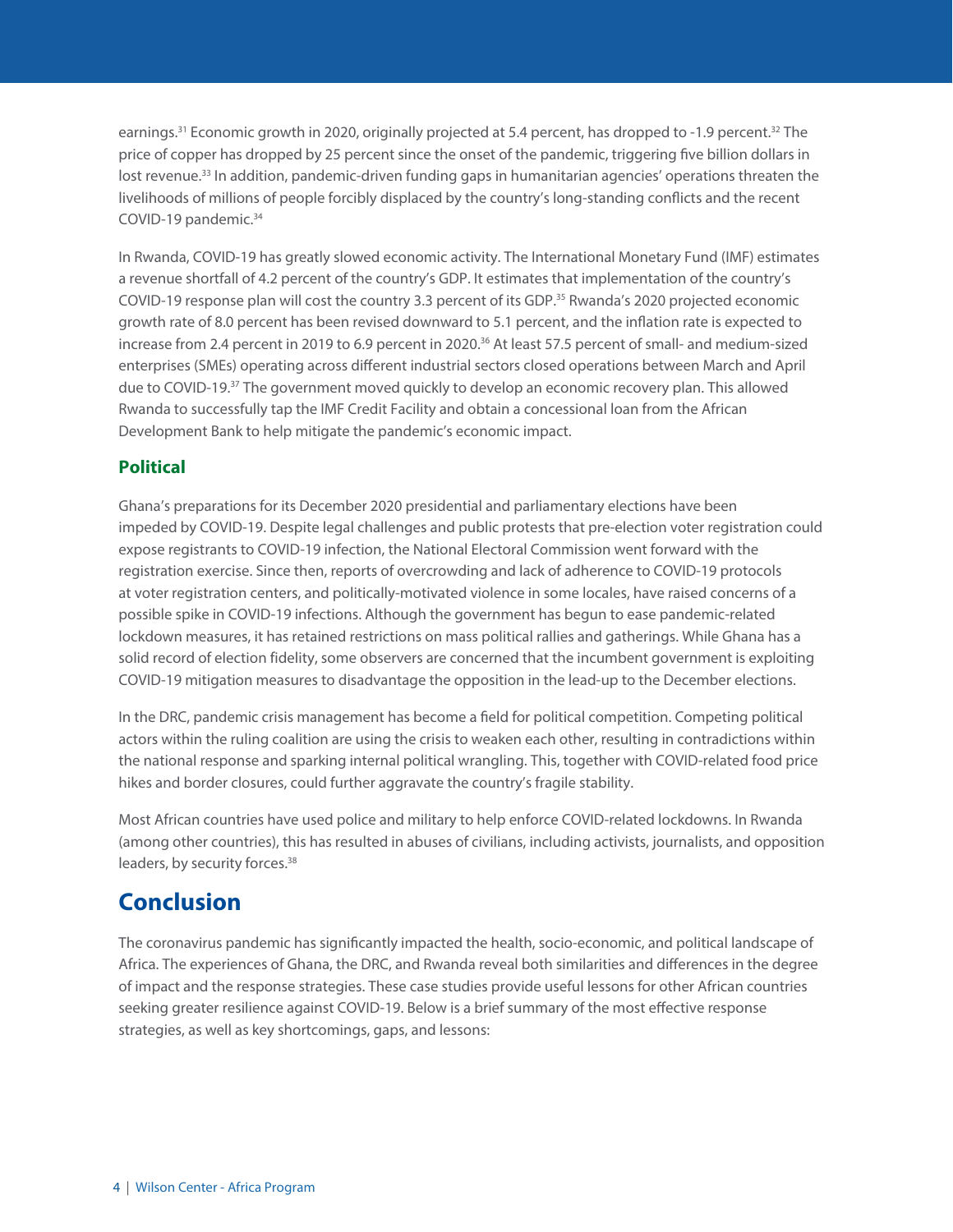earnings.31 Economic growth in 2020, originally projected at 5.4 percent, has dropped to -1.9 percent.32 The price of copper has dropped by 25 percent since the onset of the pandemic, triggering five billion dollars in lost revenue.<sup>33</sup> In addition, pandemic-driven funding gaps in humanitarian agencies' operations threaten the livelihoods of millions of people forcibly displaced by the country's long-standing conflicts and the recent COVID-19 pandemic.<sup>34</sup>

In Rwanda, COVID-19 has greatly slowed economic activity. The International Monetary Fund (IMF) estimates a revenue shortfall of 4.2 percent of the country's GDP. It estimates that implementation of the country's COVID-19 response plan will cost the country 3.3 percent of its GDP.35 Rwanda's 2020 projected economic growth rate of 8.0 percent has been revised downward to 5.1 percent, and the inflation rate is expected to increase from 2.4 percent in 2019 to 6.9 percent in 2020.<sup>36</sup> At least 57.5 percent of small- and medium-sized enterprises (SMEs) operating across different industrial sectors closed operations between March and April due to COVID-19.37 The government moved quickly to develop an economic recovery plan. This allowed Rwanda to successfully tap the IMF Credit Facility and obtain a concessional loan from the African Development Bank to help mitigate the pandemic's economic impact.

#### **Political**

Ghana's preparations for its December 2020 presidential and parliamentary elections have been impeded by COVID-19. Despite legal challenges and public protests that pre-election voter registration could expose registrants to COVID-19 infection, the National Electoral Commission went forward with the registration exercise. Since then, reports of overcrowding and lack of adherence to COVID-19 protocols at voter registration centers, and politically-motivated violence in some locales, have raised concerns of a possible spike in COVID-19 infections. Although the government has begun to ease pandemic-related lockdown measures, it has retained restrictions on mass political rallies and gatherings. While Ghana has a solid record of election fidelity, some observers are concerned that the incumbent government is exploiting COVID-19 mitigation measures to disadvantage the opposition in the lead-up to the December elections.

In the DRC, pandemic crisis management has become a field for political competition. Competing political actors within the ruling coalition are using the crisis to weaken each other, resulting in contradictions within the national response and sparking internal political wrangling. This, together with COVID-related food price hikes and border closures, could further aggravate the country's fragile stability.

Most African countries have used police and military to help enforce COVID-related lockdowns. In Rwanda (among other countries), this has resulted in abuses of civilians, including activists, journalists, and opposition leaders, by security forces.<sup>38</sup>

## **Conclusion**

The coronavirus pandemic has significantly impacted the health, socio-economic, and political landscape of Africa. The experiences of Ghana, the DRC, and Rwanda reveal both similarities and differences in the degree of impact and the response strategies. These case studies provide useful lessons for other African countries seeking greater resilience against COVID-19. Below is a brief summary of the most effective response strategies, as well as key shortcomings, gaps, and lessons: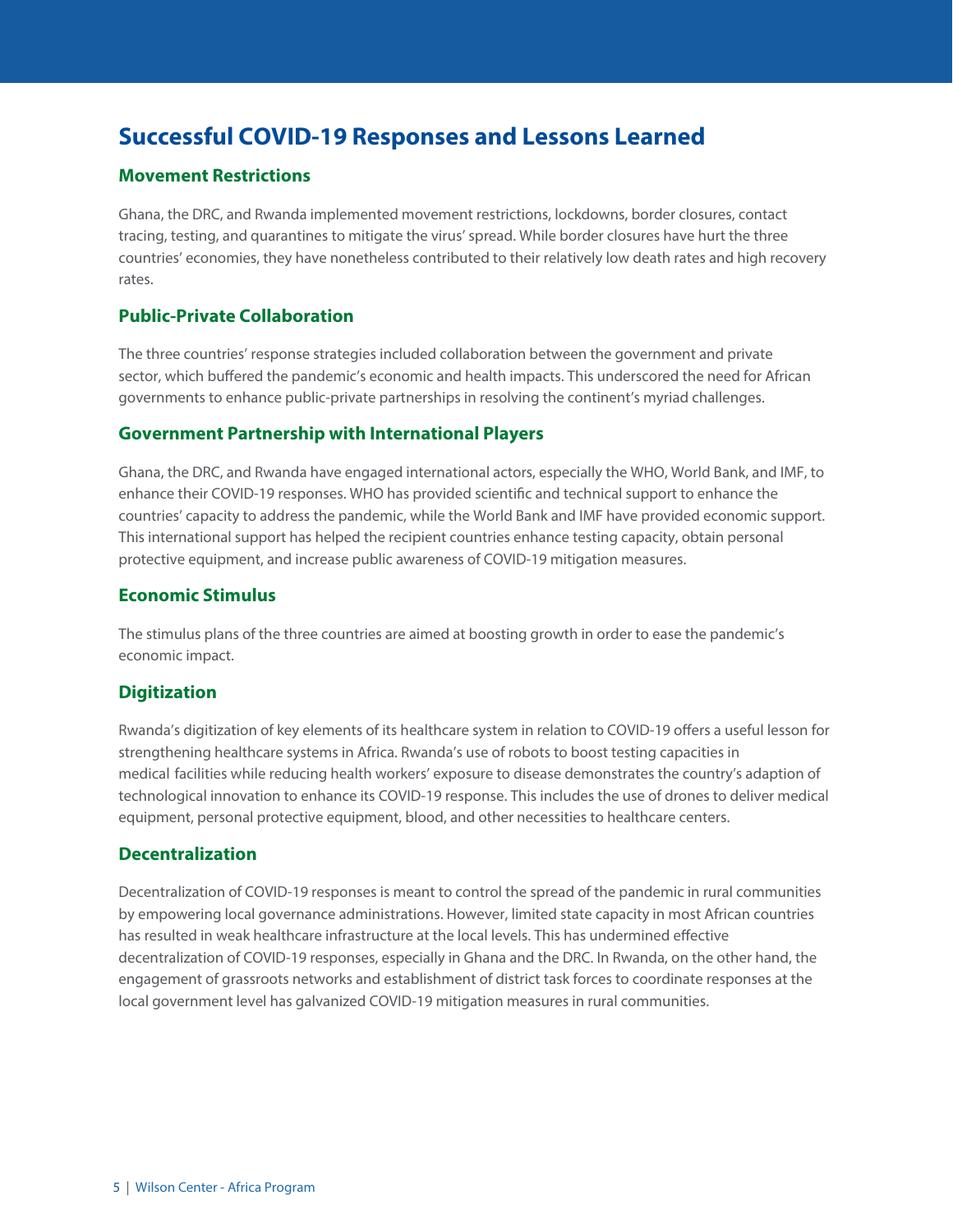## **Successful COVID-19 Responses and Lessons Learned**

#### **Movement Restrictions**

Ghana, the DRC, and Rwanda implemented movement restrictions, lockdowns, border closures, contact tracing, testing, and quarantines to mitigate the virus' spread. While border closures have hurt the three countries' economies, they have nonetheless contributed to their relatively low death rates and high recovery rates.

#### **Public-Private Collaboration**

The three countries' response strategies included collaboration between the government and private sector, which buffered the pandemic's economic and health impacts. This underscored the need for African governments to enhance public-private partnerships in resolving the continent's myriad challenges.

#### **Government Partnership with International Players**

Ghana, the DRC, and Rwanda have engaged international actors, especially the WHO, World Bank, and IMF, to enhance their COVID-19 responses. WHO has provided scientific and technical support to enhance the countries' capacity to address the pandemic, while the World Bank and IMF have provided economic support. This international support has helped the recipient countries enhance testing capacity, obtain personal protective equipment, and increase public awareness of COVID-19 mitigation measures.

#### **Economic Stimulus**

The stimulus plans of the three countries are aimed at boosting growth in order to ease the pandemic's economic impact.

#### **Digitization**

Rwanda's digitization of key elements of its healthcare system in relation to COVID-19 offers a useful lesson for strengthening healthcare systems in Africa. Rwanda's use of robots to boost testing capacities in medical facilities while reducing health workers' exposure to disease demonstrates the country's adaption of technological innovation to enhance its COVID-19 response. This includes the use of drones to deliver medical equipment, personal protective equipment, blood, and other necessities to healthcare centers.

#### **Decentralization**

Decentralization of COVID-19 responses is meant to control the spread of the pandemic in rural communities by empowering local governance administrations. However, limited state capacity in most African countries has resulted in weak healthcare infrastructure at the local levels. This has undermined effective decentralization of COVID-19 responses, especially in Ghana and the DRC. In Rwanda, on the other hand, the engagement of grassroots networks and establishment of district task forces to coordinate responses at the local government level has galvanized COVID-19 mitigation measures in rural communities.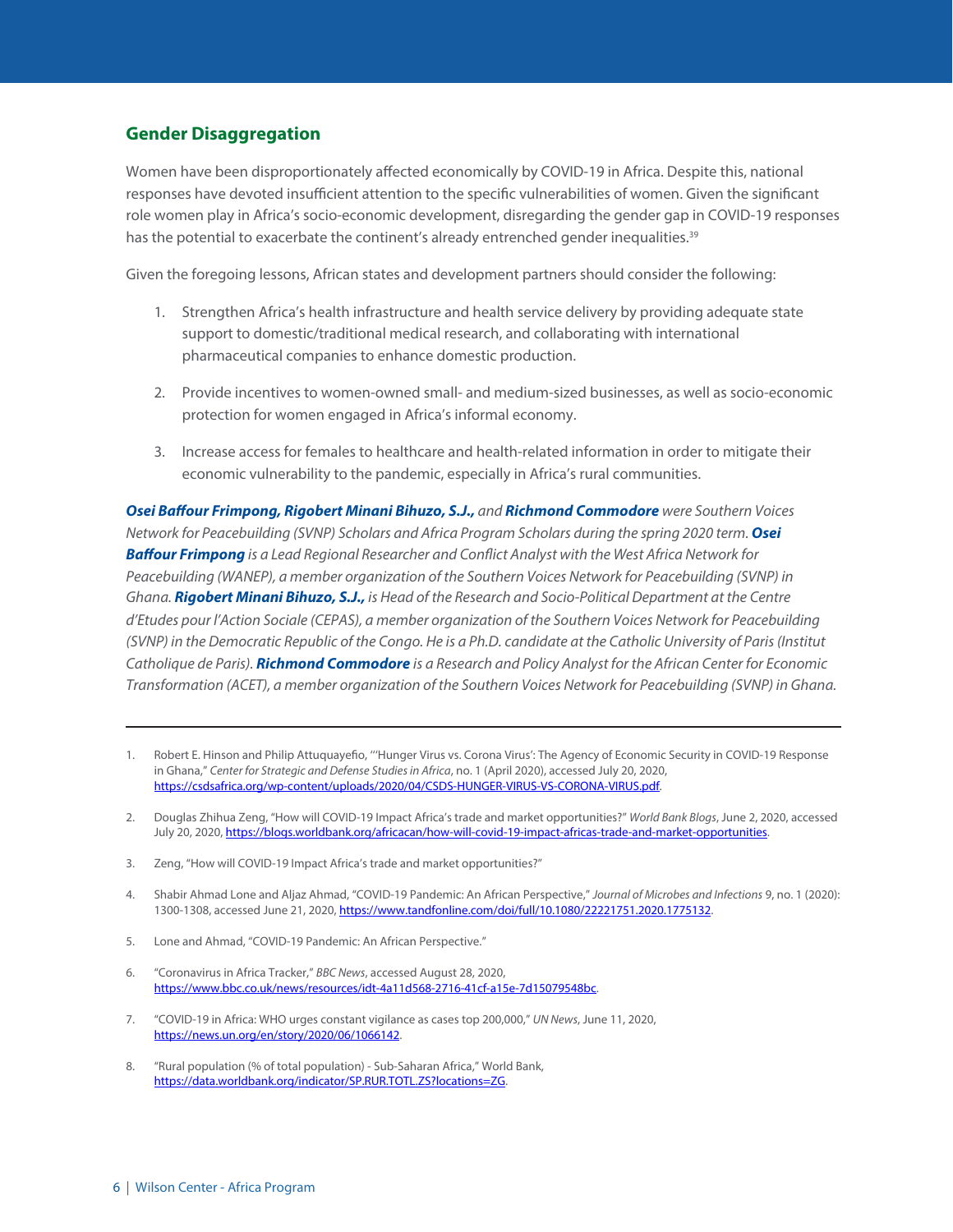#### **Gender Disaggregation**

Women have been disproportionately affected economically by COVID-19 in Africa. Despite this, national responses have devoted insufficient attention to the specific vulnerabilities of women. Given the significant role women play in Africa's socio-economic development, disregarding the gender gap in COVID-19 responses has the potential to exacerbate the continent's already entrenched gender inequalities.<sup>39</sup>

Given the foregoing lessons, African states and development partners should consider the following:

- 1. Strengthen Africa's health infrastructure and health service delivery by providing adequate state support to domestic/traditional medical research, and collaborating with international pharmaceutical companies to enhance domestic production.
- 2. Provide incentives to women-owned small- and medium-sized businesses, as well as socio-economic protection for women engaged in Africa's informal economy.
- 3. Increase access for females to healthcare and health-related information in order to mitigate their economic vulnerability to the pandemic, especially in Africa's rural communities.

*Osei Baffour Frimpong, Rigobert Minani Bihuzo, S.J., and Richmond Commodore were Southern Voices Network for Peacebuilding (SVNP) Scholars and Africa Program Scholars during the spring 2020 term. Osei Baffour Frimpong is a Lead Regional Researcher and Conflict Analyst with the West Africa Network for Peacebuilding (WANEP), a member organization of the Southern Voices Network for Peacebuilding (SVNP) in Ghana. Rigobert Minani Bihuzo, S.J., is* Head *of the Research and Socio-Political Department at the Centre d'Etudes pour l'Action Sociale (CEPAS), a member organization of the Southern Voices Network for Peacebuilding (SVNP) in the Democratic Republic of the Congo. He is a Ph.D. candidate at the Catholic University of Paris (Institut Catholique de Paris). Richmond Commodore is a Research and Policy Analyst for the African Center for Economic Transformation (ACET), a member organization of the Southern Voices Network for Peacebuilding (SVNP) in Ghana.* 

- 4. Shabir Ahmad Lone and Aljaz Ahmad, "COVID-19 Pandemic: An African Perspective," *Journal of Microbes and Infections* 9, no. 1 (2020): 1300-1308, accessed June 21, 2020, https://www.tandfonline.com/doi/full/10.1080/22221751.2020.1775132.
- 5. Lone and Ahmad, "COVID-19 Pandemic: An African Perspective."
- 6. "Coronavirus in Africa Tracker," *BBC News*, accessed August 28, 2020, https://www.bbc.co.uk/news/resources/idt-4a11d568-2716-41cf-a15e-7d15079548bc.
- 7. "COVID-19 in Africa: WHO urges constant vigilance as cases top 200,000," *UN News*, June 11, 2020, https://news.un.org/en/story/2020/06/1066142.
- 8. "Rural population (% of total population) Sub-Saharan Africa," World Bank, https://data.worldbank.org/indicator/SP.RUR.TOTL.ZS?locations=ZG.

<sup>1.</sup> Robert E. Hinson and Philip Attuquayefio, '''Hunger Virus vs. Corona Virus': The Agency of Economic Security in COVID-19 Response in Ghana," *Center for Strategic and Defense Studies in Africa*, no. 1 (April 2020), accessed July 20, 2020, https://csdsafrica.org/wp-content/uploads/2020/04/CSDS-HUNGER-VIRUS-VS-CORONA-VIRUS.pdf.

<sup>2.</sup> Douglas Zhihua Zeng, "How will COVID-19 Impact Africa's trade and market opportunities?" *World Bank Blogs*, June 2, 2020, accessed July 20, 2020, https://blogs.worldbank.org/africacan/how-will-covid-19-impact-africas-trade-and-market-opportunities.

<sup>3.</sup> Zeng, "How will COVID-19 Impact Africa's trade and market opportunities?"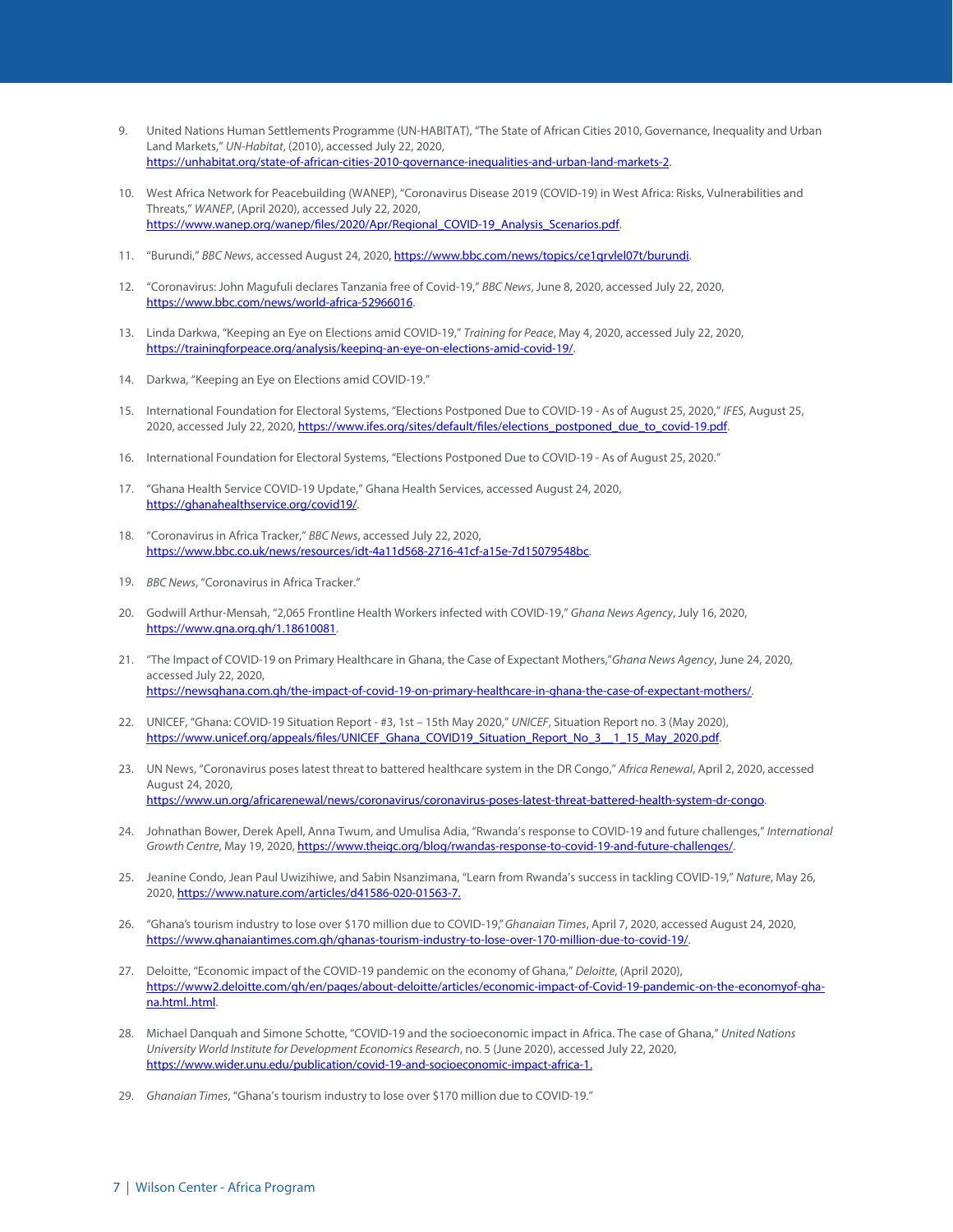- 9. United Nations Human Settlements Programme (UN-HABITAT), "The State of African Cities 2010, Governance, Inequality and Urban Land Markets," *UN-Habitat*, (2010), accessed July 22, 2020, https://unhabitat.org/state-of-african-cities-2010-governance-inequalities-and-urban-land-markets-2.
- 10. West Africa Network for Peacebuilding (WANEP), "Coronavirus Disease 2019 (COVID-19) in West Africa: Risks, Vulnerabilities and Threats," *WANEP*, (April 2020), accessed July 22, 2020, https://www.wanep.org/wanep/files/2020/Apr/Regional\_COVID-19\_Analysis\_Scenarios.pdf.
- 11. "Burundi," *BBC News*, accessed August 24, 2020, https://www.bbc.com/news/topics/ce1qrvlel07t/burundi.
- 12. "Coronavirus: John Magufuli declares Tanzania free of Covid-19," *BBC News*, June 8, 2020, accessed July 22, 2020, https://www.bbc.com/news/world-africa-52966016.
- 13. Linda Darkwa, "Keeping an Eye on Elections amid COVID-19," *Training for Peace*, May 4, 2020, accessed July 22, 2020, https://trainingforpeace.org/analysis/keeping-an-eye-on-elections-amid-covid-19/.
- 14. Darkwa, "Keeping an Eye on Elections amid COVID-19."
- 15. International Foundation for Electoral Systems, "Elections Postponed Due to COVID-19 As of August 25, 2020," *IFES*, August 25, 2020, accessed July 22, 2020, https://www.ifes.org/sites/default/files/elections\_postponed\_due\_to\_covid-19.pdf.
- 16. International Foundation for Electoral Systems, "Elections Postponed Due to COVID-19 As of August 25, 2020."
- 17. "Ghana Health Service COVID-19 Update," Ghana Health Services, accessed August 24, 2020, https://ghanahealthservice.org/covid19/.
- 18. "Coronavirus in Africa Tracker," *BBC News*, accessed July 22, 2020, https://www.bbc.co.uk/news/resources/idt-4a11d568-2716-41cf-a15e-7d15079548bc.
- *BBC News*, "Coronavirus in Africa Tracker."
- 20. Godwill Arthur-Mensah, "2,065 Frontline Health Workers infected with COVID-19," *Ghana News Agency*, July 16, 2020, https://www.gna.org.gh/1.18610081.
- 21. "The Impact of COVID-19 on Primary Healthcare in Ghana, the Case of Expectant Mothers,"*Ghana News Agency*, June 24, 2020, accessed July 22, 2020, https://newsghana.com.gh/the-impact-of-covid-19-on-primary-healthcare-in-ghana-the-case-of-expectant-mothers/.
- 22. UNICEF, "Ghana: COVID-19 Situation Report #3, 1st 15th May 2020," *UNICEF*, Situation Report no. 3 (May 2020), https://www.unicef.org/appeals/files/UNICEF\_Ghana\_COVID19\_Situation\_Report\_No\_3\_\_1\_15\_May\_2020.pdf.
- 23. UN News, "Coronavirus poses latest threat to battered healthcare system in the DR Congo," *Africa Renewal*, April 2, 2020, accessed August 24, 2020, https://www.un.org/africarenewal/news/coronavirus/coronavirus-poses-latest-threat-battered-health-system-dr-congo.
- 24. Johnathan Bower, Derek Apell, Anna Twum, and Umulisa Adia, "Rwanda's response to COVID-19 and future challenges," *International Growth Centre*, May 19, 2020, https://www.theigc.org/blog/rwandas-response-to-covid-19-and-future-challenges/.
- 25. Jeanine Condo, Jean Paul Uwizihiwe, and Sabin Nsanzimana, "Learn from Rwanda's success in tackling COVID-19," *Nature*, May 26, 2020, https://www.nature.com/articles/d41586-020-01563-7.
- 26. "Ghana's tourism industry to lose over \$170 million due to COVID-19," *Ghanaian Times*, April 7, 2020, accessed August 24, 2020, https://www.ghanaiantimes.com.gh/ghanas-tourism-industry-to-lose-over-170-million-due-to-covid-19/.
- 27. Deloitte, "Economic impact of the COVID-19 pandemic on the economy of Ghana," *Deloitte*, (April 2020), https://www2.deloitte.com/gh/en/pages/about-deloitte/articles/economic-impact-of-Covid-19-pandemic-on-the-economyof-ghana.html..html.
- 28. Michael Danquah and Simone Schotte, "COVID-19 and the socioeconomic impact in Africa. The case of Ghana," *United Nations University World Institute for Development Economics Research*, no. 5 (June 2020), accessed July 22, 2020, https://www.wider.unu.edu/publication/covid-19-and-socioeconomic-impact-africa-1.
- *Ghanaian Times*, "Ghana's tourism industry to lose over \$170 million due to COVID-19."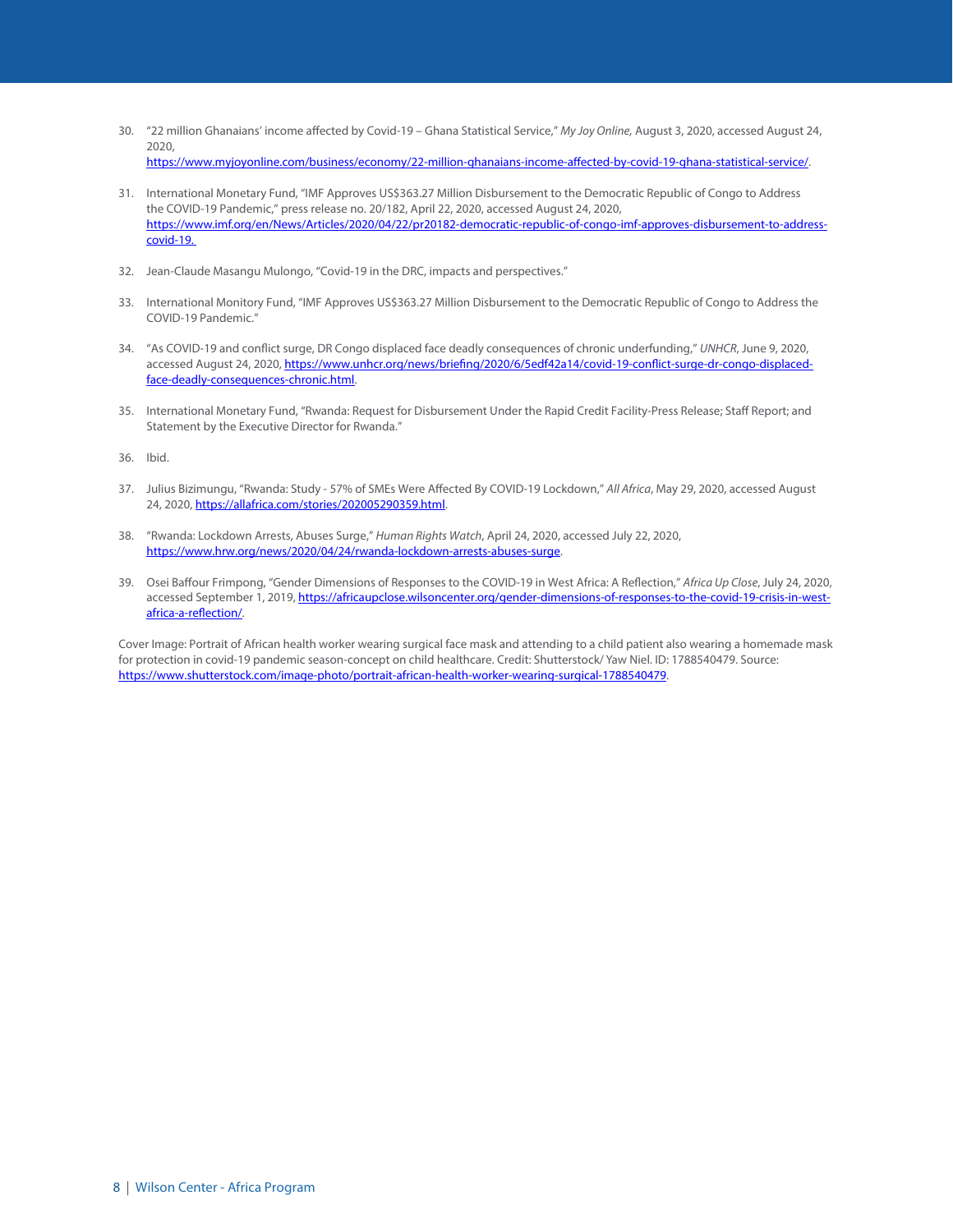- 30. "22 million Ghanaians' income affected by Covid-19 Ghana Statistical Service," *My Joy Online,* August 3, 2020, accessed August 24, 2020, https://www.myjoyonline.com/business/economy/22-million-ghanaians-income-affected-by-covid-19-ghana-statistical-service/.
- 31. International Monetary Fund, "IMF Approves US\$363.27 Million Disbursement to the Democratic Republic of Congo to Address the COVID-19 Pandemic," press release no. 20/182, April 22, 2020, accessed August 24, 2020, https://www.imf.org/en/News/Articles/2020/04/22/pr20182-democratic-republic-of-congo-imf-approves-disbursement-to-address-
- 32. Jean-Claude Masangu Mulongo, "Covid-19 in the DRC, impacts and perspectives."
- 33. International Monitory Fund, "IMF Approves US\$363.27 Million Disbursement to the Democratic Republic of Congo to Address the COVID-19 Pandemic."
- 34. "As COVID-19 and conflict surge, DR Congo displaced face deadly consequences of chronic underfunding," *UNHCR*, June 9, 2020, accessed August 24, 2020, https://www.unhcr.org/news/briefing/2020/6/5edf42a14/covid-19-conflict-surge-dr-congo-displacedface-deadly-consequences-chronic.html.
- 35. International Monetary Fund, "Rwanda: Request for Disbursement Under the Rapid Credit Facility-Press Release; Staff Report; and Statement by the Executive Director for Rwanda."

36. Ibid.

covid-19.

- 37. Julius Bizimungu, "Rwanda: Study 57% of SMEs Were Affected By COVID-19 Lockdown," *All Africa*, May 29, 2020, accessed August 24, 2020, https://allafrica.com/stories/202005290359.html.
- 38. "Rwanda: Lockdown Arrests, Abuses Surge," *Human Rights Watch*, April 24, 2020, accessed July 22, 2020, https://www.hrw.org/news/2020/04/24/rwanda-lockdown-arrests-abuses-surge.
- 39. Osei Baffour Frimpong, "Gender Dimensions of Responses to the COVID-19 in West Africa: A Reflection," *Africa Up Close*, July 24, 2020, accessed September 1, 2019, https://africaupclose.wilsoncenter.org/gender-dimensions-of-responses-to-the-covid-19-crisis-in-westafrica-a-reflection/.

Cover Image: Portrait of African health worker wearing surgical face mask and attending to a child patient also wearing a homemade mask for protection in covid-19 pandemic season-concept on child healthcare. Credit: Shutterstock/ Yaw Niel. ID: 1788540479. Source: https://www.shutterstock.com/image-photo/portrait-african-health-worker-wearing-surgical-1788540479.